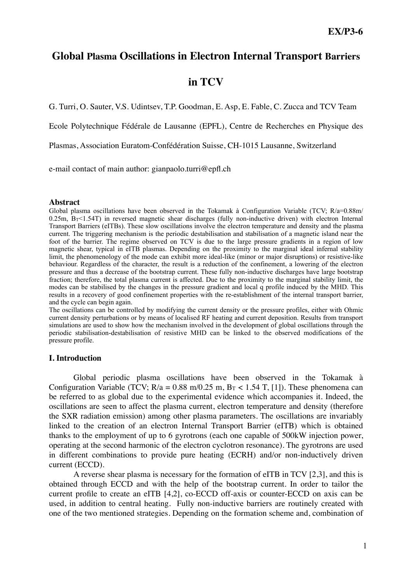# **Global Plasma Oscillations in Electron Internal Transport Barriers**

# **in TCV**

G. Turri, O. Sauter, V.S. Udintsev, T.P. Goodman, E. Asp, E. Fable, C. Zucca and TCV Team

Ecole Polytechnique Fédérale de Lausanne (EPFL), Centre de Recherches en Physique des

Plasmas, Association Euratom-Confédération Suisse, CH-1015 Lausanne, Switzerland

e-mail contact of main author: gianpaolo.turri@epfl.ch

#### **Abstract**

Global plasma oscillations have been observed in the Tokamak à Configuration Variable (TCV; R/a=0.88m/  $0.25$ m,  $B_T$ <1.54T) in reversed magnetic shear discharges (fully non-inductive driven) with electron Internal Transport Barriers (eITBs). These slow oscillations involve the electron temperature and density and the plasma current. The triggering mechanism is the periodic destabilisation and stabilisation of a magnetic island near the foot of the barrier. The regime observed on TCV is due to the large pressure gradients in a region of low magnetic shear, typical in eITB plasmas. Depending on the proximity to the marginal ideal infernal stability limit, the phenomenology of the mode can exhibit more ideal-like (minor or major disruptions) or resistive-like behaviour. Regardless of the character, the result is a reduction of the confinement, a lowering of the electron pressure and thus a decrease of the bootstrap current. These fully non-inductive discharges have large bootstrap fraction; therefore, the total plasma current is affected. Due to the proximity to the marginal stability limit, the modes can be stabilised by the changes in the pressure gradient and local q profile induced by the MHD. This results in a recovery of good confinement properties with the re-establishment of the internal transport barrier, and the cycle can begin again.

The oscillations can be controlled by modifying the current density or the pressure profiles, either with Ohmic current density perturbations or by means of localised RF heating and current deposition. Results from transport simulations are used to show how the mechanism involved in the development of global oscillations through the periodic stabilisation-destabilisation of resistive MHD can be linked to the observed modifications of the pressure profile.

### **I. Introduction**

Global periodic plasma oscillations have been observed in the Tokamak à Configuration Variable (TCV;  $R/a = 0.88$  m/0.25 m,  $B_T < 1.54$  T, [1]). These phenomena can be referred to as global due to the experimental evidence which accompanies it. Indeed, the oscillations are seen to affect the plasma current, electron temperature and density (therefore the SXR radiation emission) among other plasma parameters. The oscillations are invariably linked to the creation of an electron Internal Transport Barrier (eITB) which is obtained thanks to the employment of up to 6 gyrotrons (each one capable of 500kW injection power, operating at the second harmonic of the electron cyclotron resonance). The gyrotrons are used in different combinations to provide pure heating (ECRH) and/or non-inductively driven current (ECCD).

A reverse shear plasma is necessary for the formation of eITB in TCV [2,3], and this is obtained through ECCD and with the help of the bootstrap current. In order to tailor the current profile to create an eITB [4,2], co-ECCD off-axis or counter-ECCD on axis can be used, in addition to central heating. Fully non-inductive barriers are routinely created with one of the two mentioned strategies. Depending on the formation scheme and, combination of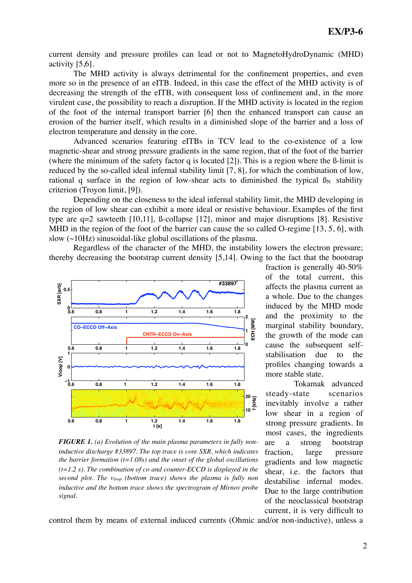current density and pressure profiles can lead or not to MagnetoHydroDynamic (MHD) activity [5,6].

The MHD activity is always detrimental for the confinement properties, and even more so in the presence of an eITB. Indeed, in this case the effect of the MHD activity is of decreasing the strength of the eITB, with consequent loss of confinement and, in the more virulent case, the possibility to reach a disruption. If the MHD activity is located in the region of the foot of the internal transport barrier [6] then the enhanced transport can cause an erosion of the barrier itself, which results in a diminished slope of the barrier and a loss of electron temperature and density in the core.

Advanced scenarios featuring eITBs in TCV lead to the co-existence of a low magnetic-shear and strong pressure gradients in the same region, that of the foot of the barrier (where the minimum of the safety factor q is located [2]). This is a region where the ß-limit is reduced by the so-called ideal infernal stability limit [7, 8], for which the combination of low, rational q surface in the region of low-shear acts to diminished the typical  $\beta_N$  stability criterion (Troyon limit, [9]).

Depending on the closeness to the ideal infernal stability limit, the MHD developing in the region of low shear can exhibit a more ideal or resistive behaviour. Examples of the first type are q=2 sawteeth [10,11], ß-collapse [12], minor and major disruptions [8]. Resistive MHD in the region of the foot of the barrier can cause the so called O-regime [13, 5, 6], with slow (~10Hz) sinusoidal-like global oscillations of the plasma.

 Regardless of the character of the MHD, the instability lowers the electron pressure; thereby decreasing the bootstrap current density [5,14]. Owing to the fact that the bootstrap



*FIGURE 1. (a) Evolution of the main plasma parameters in fully noninductive discharge #33897. The top trace is core SXR, which indicates the barrier formation (t=1.08s) and the onset of the global oscillations (t=1.2 s). The combination of co and counter-ECCD is displayed in the second plot. The vloop (bottom trace) shows the plasma is fully non inductive and the bottom trace shows the spectrogram of Mirnov probe signal.*

fraction is generally 40-50% of the total current, this affects the plasma current as a whole. Due to the changes induced by the MHD mode and the proximity to the marginal stability boundary, the growth of the mode can cause the subsequent selfstabilisation due to the profiles changing towards a more stable state.

Tokamak advanced steady-state scenarios inevitably involve a rather low shear in a region of strong pressure gradients. In most cases, the ingredients are a strong bootstrap fraction, large pressure gradients and low magnetic shear, i.e. the factors that destabilise infernal modes. Due to the large contribution of the neoclassical bootstrap current, it is very difficult to

control them by means of external induced currents (Ohmic and/or non-inductive), unless a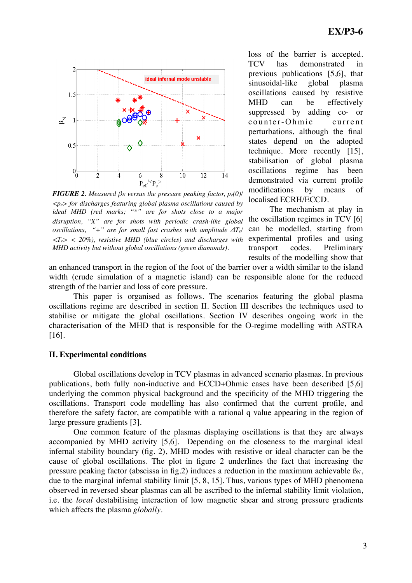

*FIGURE 2. Measured*  $\beta_N$  *versus the pressure peaking factor,*  $p_e(0)$ */ <pe> for discharges featuring global plasma oscillations caused by ideal MHD (red marks; "\*" are for shots close to a major disruption, "X" are for shots with periodic crash-like global oscillations, "+" are for small fast crashes with amplitude ΔTe/ <Te> < 20%), resistive MHD (blue circles) and discharges with MHD activity but without global oscillations (green diamonds).* 

loss of the barrier is accepted. TCV has demonstrated in previous publications [5,6], that sinusoidal-like global plasma oscillations caused by resistive MHD can be effectively suppressed by adding co- or counter-Ohmic current perturbations, although the final states depend on the adopted technique. More recently [15], stabilisation of global plasma oscillations regime has been demonstrated via current profile modifications by means of localised ECRH/ECCD.

The mechanism at play in the oscillation regimes in TCV [6] can be modelled, starting from experimental profiles and using transport codes. Preliminary results of the modelling show that

an enhanced transport in the region of the foot of the barrier over a width similar to the island width (crude simulation of a magnetic island) can be responsible alone for the reduced strength of the barrier and loss of core pressure.

This paper is organised as follows. The scenarios featuring the global plasma oscillations regime are described in section II. Section III describes the techniques used to stabilise or mitigate the global oscillations. Section IV describes ongoing work in the characterisation of the MHD that is responsible for the O-regime modelling with ASTRA [16].

### **II. Experimental conditions**

Global oscillations develop in TCV plasmas in advanced scenario plasmas. In previous publications, both fully non-inductive and ECCD+Ohmic cases have been described [5,6] underlying the common physical background and the specificity of the MHD triggering the oscillations. Transport code modelling has also confirmed that the current profile, and therefore the safety factor, are compatible with a rational q value appearing in the region of large pressure gradients [3].

One common feature of the plasmas displaying oscillations is that they are always accompanied by MHD activity [5,6]. Depending on the closeness to the marginal ideal infernal stability boundary (fig. 2), MHD modes with resistive or ideal character can be the cause of global oscillations. The plot in figure 2 underlines the fact that increasing the pressure peaking factor (abscissa in fig.2) induces a reduction in the maximum achievable  $\beta_N$ , due to the marginal infernal stability limit [5, 8, 15]. Thus, various types of MHD phenomena observed in reversed shear plasmas can all be ascribed to the infernal stability limit violation, i.e. the *local* destabilising interaction of low magnetic shear and strong pressure gradients which affects the plasma *globally*.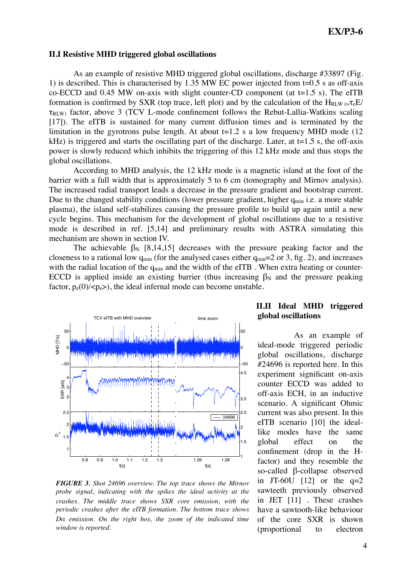#### **II.I Resistive MHD triggered global oscillations**

As an example of resistive MHD triggered global oscillations, discharge #33897 (Fig. 1) is described. This is characterised by 1.35 MW EC power injected from  $t=0.5$  s as off-axis co-ECCD and 0.45 MW on-axis with slight counter-CD component (at  $t=1.5$  s). The eITB formation is confirmed by SXR (top trace, left plot) and by the calculation of the  $H_{RLW} = \tau_e E /$  $\tau_{\text{RIW}}$  factor, above 3 (TCV L-mode confinement follows the Rebut-Lallia-Watkins scaling [17]). The eITB is sustained for many current diffusion times and is terminated by the limitation in the gyrotrons pulse length. At about  $t=1.2$  s a low frequency MHD mode (12) kHz) is triggered and starts the oscillating part of the discharge. Later, at  $t=1.5$  s, the off-axis power is slowly reduced which inhibits the triggering of this 12 kHz mode and thus stops the global oscillations.

According to MHD analysis, the 12 kHz mode is a magnetic island at the foot of the barrier with a full width that is approximately 5 to 6 cm (tomography and Mirnov analysis). The increased radial transport leads a decrease in the pressure gradient and bootstrap current. Due to the changed stability conditions (lower pressure gradient, higher  $q_{min}$  i.e. a more stable plasma), the island self-stabilizes causing the pressure profile to build up again until a new cycle begins. This mechanism for the development of global oscillations due to a resistive mode is described in ref. [5,14] and preliminary results with ASTRA simulating this mechanism are shown in section IV.

The achievable  $\beta_N$  [8,14,15] decreases with the pressure peaking factor and the closeness to a rational low  $q_{min}$  (for the analysed cases either  $q_{min}=2$  or 3, fig. 2), and increases with the radial location of the  $q_{min}$  and the width of the eITB. When extra heating or counter-ECCD is applied inside an existing barrier (thus increasing  $\beta_N$  and the pressure peaking factor,  $p_e(0)/\langle p_e \rangle$ , the ideal infernal mode can become unstable.



*FIGURE 3. Shot 24696 overview. The top trace shows the Mirnov probe signal, indicating with the spikes the ideal activity at the crashes. The middle trace shows SXR core emission, with the periodic crashes after the eITB formation. The bottom trace shows Dα emission. On the right box, the zoom of the indicated time window is reported.*

## **II.II Ideal MHD triggered global oscillations**

As an example of ideal-mode triggered periodic global oscillations, discharge #24696 is reported here. In this experiment significant on-axis counter ECCD was added to off-axis ECH, in an inductive scenario. A significant Ohmic current was also present. In this eITB scenario [10] the ideallike modes have the same global effect on the confinement (drop in the Hfactor) and they resemble the so-called β-collapse observed in JT-60U  $[12]$  or the  $q=2$ sawteeth previously observed in JET [11] . These crashes have a sawtooth-like behaviour of the core SXR is shown (proportional to electron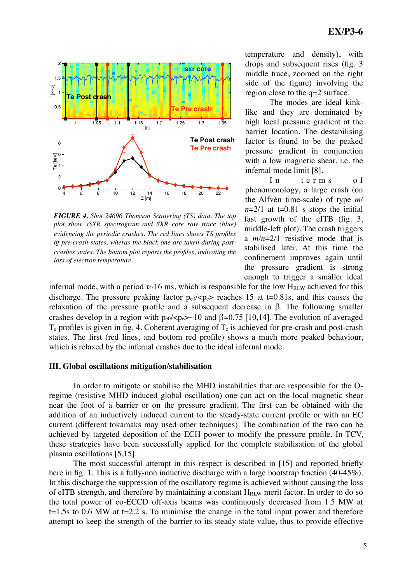

*FIGURE 4. Shot 24696 Thomson Scattering (TS) data. The top plot show sSXR spectrogram and SXR core raw trace (blue) evidencing the periodic crashes. The red lines shows TS profiles of pre-crash states, wheras the black one are taken during postcrashes states. The bottom plot reports the profiles, indicating the* 

temperature and density), with drops and subsequent rises (fig. 3 middle trace, zoomed on the right side of the figure) involving the region close to the q=2 surface.

The modes are ideal kinklike and they are dominated by high local pressure gradient at the barrier location. The destabilising factor is found to be the peaked pressure gradient in conjunction with a low magnetic shear, i.e. the infernal mode limit [8].

In terms of phenomenology, a large crash (on the Alfvèn time-scale) of type *m/*  $n=2/1$  at t=0.81 s stops the initial fast growth of the eITB (fig. 3, middle-left plot). The crash triggers a *m/n*=2/1 resistive mode that is stabilised later. At this time the confinement improves again until the pressure gradient is strong enough to trigger a smaller ideal

infernal mode, with a period  $\tau$  16 ms, which is responsible for the low H<sub>RLW</sub> achieved for this discharge. The pressure peaking factor  $p_{e0}/< p_e >$  reaches 15 at t=0.81s, and this causes the relaxation of the pressure profile and a subsequent decrease in β. The following smaller crashes develop in a region with  $p_{e0}/< p_e > 10$  and  $\beta \approx 0.75$  [10,14]. The evolution of averaged  $T_e$  profiles is given in fig. 4. Coherent averaging of  $T_e$  is achieved for pre-crash and post-crash states. The first (red lines, and bottom red profile) shows a much more peaked behaviour, which is relaxed by the infernal crashes due to the ideal infernal mode.

#### **III. Global oscillations mitigation/stabilisation**

In order to mitigate or stabilise the MHD instabilities that are responsible for the Oregime (resistive MHD induced global oscillation) one can act on the local magnetic shear near the foot of a barrier or on the pressure gradient. The first can be obtained with the addition of an inductively induced current to the steady-state current profile or with an EC current (different tokamaks may used other techniques). The combination of the two can be achieved by targeted deposition of the ECH power to modify the pressure profile. In TCV, these strategies have been successfully applied for the complete stabilisation of the global plasma oscillations [5,15].

The most successful attempt in this respect is described in [15] and reported briefly here in fig. 1. This is a fully-non inductive discharge with a large bootstrap fraction (40-45%). In this discharge the suppression of the oscillatory regime is achieved without causing the loss of eITB strength, and therefore by maintaining a constant  $H_{RLW}$  merit factor. In order to do so the total power of co-ECCD off-axis beams was continuously decreased from 1.5 MW at  $t=1.5$ s to 0.6 MW at  $t=2.2$  s. To minimise the change in the total input power and therefore attempt to keep the strength of the barrier to its steady state value, thus to provide effective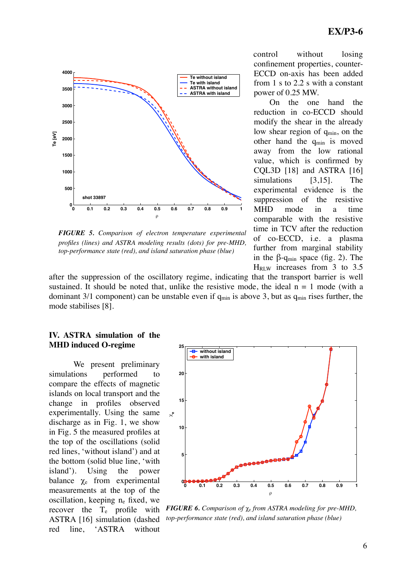

*FIGURE 5. Comparison of electron temperature experimental profiles (lines) and ASTRA modeling results (dots) for pre-MHD, top-performance state (red), and island saturation phase (blue)* 

control without losing confinement properties, counter-ECCD on-axis has been added from 1 s to 2.2 s with a constant power of 0.25 MW.

On the one hand the reduction in co-ECCD should modify the shear in the already low shear region of q<sub>min</sub>, on the other hand the  $q_{min}$  is moved away from the low rational value, which is confirmed by CQL3D [18] and ASTRA [16] simulations [3,15]. The experimental evidence is the suppression of the resistive MHD mode in a time comparable with the resistive time in TCV after the reduction of co-ECCD, i.e. a plasma further from marginal stability in the  $\beta$ -q<sub>min</sub> space (fig. 2). The HRLW increases from 3 to 3.5

after the suppression of the oscillatory regime, indicating that the transport barrier is well sustained. It should be noted that, unlike the resistive mode, the ideal  $n = 1$  mode (with a dominant 3/1 component) can be unstable even if  $q_{min}$  is above 3, but as  $q_{min}$  rises further, the mode stabilises [8].

### **IV. ASTRA simulation of the MHD induced O-regime**

We present preliminary simulations performed to compare the effects of magnetic islands on local transport and the change in profiles observed experimentally. Using the same discharge as in Fig. 1, we show in Fig. 5 the measured profiles at the top of the oscillations (solid red lines, 'without island') and at the bottom (solid blue line, 'with island'). Using the power balance  $\chi_e$  from experimental measurements at the top of the oscillation, keeping ne fixed, we recover the  $T_e$  profile with ASTRA [16] simulation (dashed red line, 'ASTRA without



*FIGURE 6. Comparison of* χe *from ASTRA modeling for pre-MHD, top-performance state (red), and island saturation phase (blue)*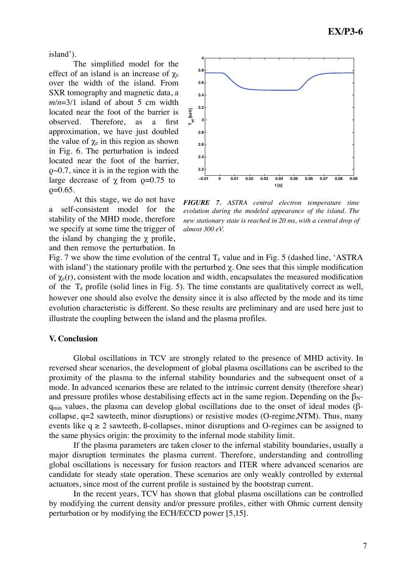island').

The simplified model for the effect of an island is an increase of  $\gamma_e$ over the width of the island. From SXR tomography and magnetic data, a  $m/n=3/1$  island of about 5 cm width located near the foot of the barrier is observed. Therefore, as a first approximation, we have just doubled the value of  $\chi_e$  in this region as shown in Fig. 6. The perturbation is indeed located near the foot of the barrier, ρ~0.7, since it is in the region with the large decrease of  $\gamma$  from  $\rho = 0.75$  to  $p=0.65$ .

At this stage, we do not have a self-consistent model for the stability of the MHD mode, therefore we specify at some time the trigger of the island by changing the  $\chi$  profile, and then remove the perturbation. In



*FIGURE 7. ASTRA central electron temperature time evolution during the modeled appearance of the island. The new stationary state is reached in 20 ms, with a central drop of almost 300 eV.*

Fig. 7 we show the time evolution of the central  $T_e$  value and in Fig. 5 (dashed line, 'ASTRA with island') the stationary profile with the perturbed  $\chi$ . One sees that this simple modification of  $\chi_e(r)$ , consistent with the mode location and width, encapsulates the measured modification of the  $T_e$  profile (solid lines in Fig. 5). The time constants are qualitatively correct as well, however one should also evolve the density since it is also affected by the mode and its time evolution characteristic is different. So these results are preliminary and are used here just to illustrate the coupling between the island and the plasma profiles.

### **V. Conclusion**

Global oscillations in TCV are strongly related to the presence of MHD activity. In reversed shear scenarios, the development of global plasma oscillations can be ascribed to the proximity of the plasma to the infernal stability boundaries and the subsequent onset of a mode. In advanced scenarios these are related to the intrinsic current density (therefore shear) and pressure profiles whose destabilising effects act in the same region. Depending on the  $\beta_{N}$  $q_{min}$  values, the plasma can develop global oscillations due to the onset of ideal modes ( $\beta$ collapse,  $q=2$  sawteeth, minor disruptions) or resistive modes (O-regime,NTM). Thus, many events like  $q \ge 2$  sawteeth, B-collapses, minor disruptions and O-regimes can be assigned to the same physics origin: the proximity to the infernal mode stability limit.

If the plasma parameters are taken closer to the infernal stability boundaries, usually a major disruption terminates the plasma current. Therefore, understanding and controlling global oscillations is necessary for fusion reactors and ITER where advanced scenarios are candidate for steady state operation. These scenarios are only weakly controlled by external actuators, since most of the current profile is sustained by the bootstrap current.

In the recent years, TCV has shown that global plasma oscillations can be controlled by modifying the current density and/or pressure profiles, either with Ohmic current density perturbation or by modifying the ECH/ECCD power [5,15].